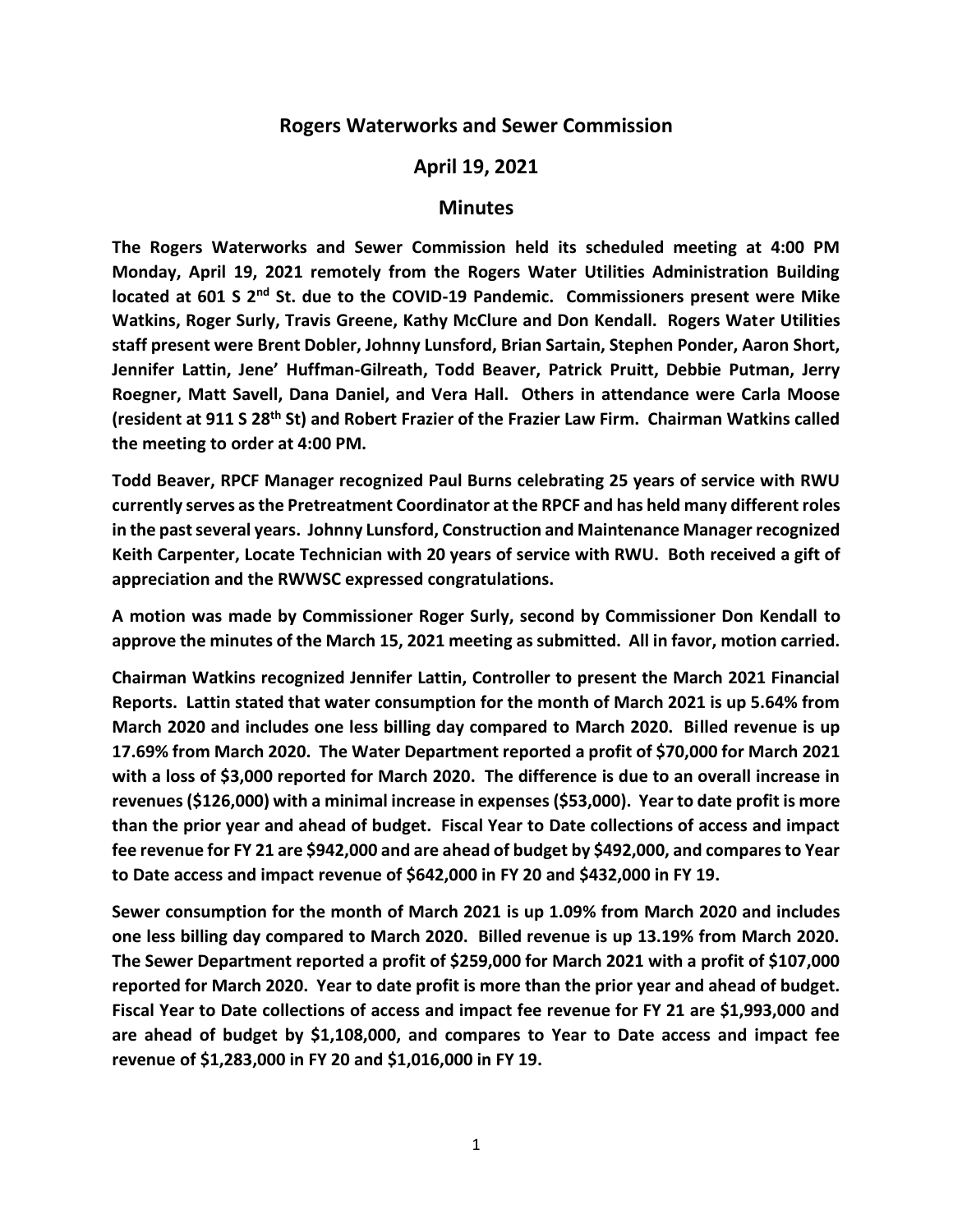## **Rogers Waterworks and Sewer Commission**

## **April 19, 2021**

## **Minutes**

**The Rogers Waterworks and Sewer Commission held its scheduled meeting at 4:00 PM Monday, April 19, 2021 remotely from the Rogers Water Utilities Administration Building located at 601 S 2nd St. due to the COVID-19 Pandemic. Commissioners present were Mike Watkins, Roger Surly, Travis Greene, Kathy McClure and Don Kendall. Rogers Water Utilities staff present were Brent Dobler, Johnny Lunsford, Brian Sartain, Stephen Ponder, Aaron Short, Jennifer Lattin, Jene' Huffman-Gilreath, Todd Beaver, Patrick Pruitt, Debbie Putman, Jerry Roegner, Matt Savell, Dana Daniel, and Vera Hall. Others in attendance were Carla Moose (resident at 911 S 28th St) and Robert Frazier of the Frazier Law Firm. Chairman Watkins called the meeting to order at 4:00 PM.** 

**Todd Beaver, RPCF Manager recognized Paul Burns celebrating 25 years of service with RWU currently serves as the Pretreatment Coordinator at the RPCF and has held many different roles in the past several years. Johnny Lunsford, Construction and Maintenance Manager recognized Keith Carpenter, Locate Technician with 20 years of service with RWU. Both received a gift of appreciation and the RWWSC expressed congratulations.**

**A motion was made by Commissioner Roger Surly, second by Commissioner Don Kendall to approve the minutes of the March 15, 2021 meeting as submitted. All in favor, motion carried.**

**Chairman Watkins recognized Jennifer Lattin, Controller to present the March 2021 Financial Reports. Lattin stated that water consumption for the month of March 2021 is up 5.64% from March 2020 and includes one less billing day compared to March 2020. Billed revenue is up 17.69% from March 2020. The Water Department reported a profit of \$70,000 for March 2021 with a loss of \$3,000 reported for March 2020. The difference is due to an overall increase in revenues (\$126,000) with a minimal increase in expenses (\$53,000). Year to date profit is more than the prior year and ahead of budget. Fiscal Year to Date collections of access and impact fee revenue for FY 21 are \$942,000 and are ahead of budget by \$492,000, and compares to Year to Date access and impact revenue of \$642,000 in FY 20 and \$432,000 in FY 19.**

**Sewer consumption for the month of March 2021 is up 1.09% from March 2020 and includes one less billing day compared to March 2020. Billed revenue is up 13.19% from March 2020. The Sewer Department reported a profit of \$259,000 for March 2021 with a profit of \$107,000 reported for March 2020. Year to date profit is more than the prior year and ahead of budget. Fiscal Year to Date collections of access and impact fee revenue for FY 21 are \$1,993,000 and are ahead of budget by \$1,108,000, and compares to Year to Date access and impact fee revenue of \$1,283,000 in FY 20 and \$1,016,000 in FY 19.**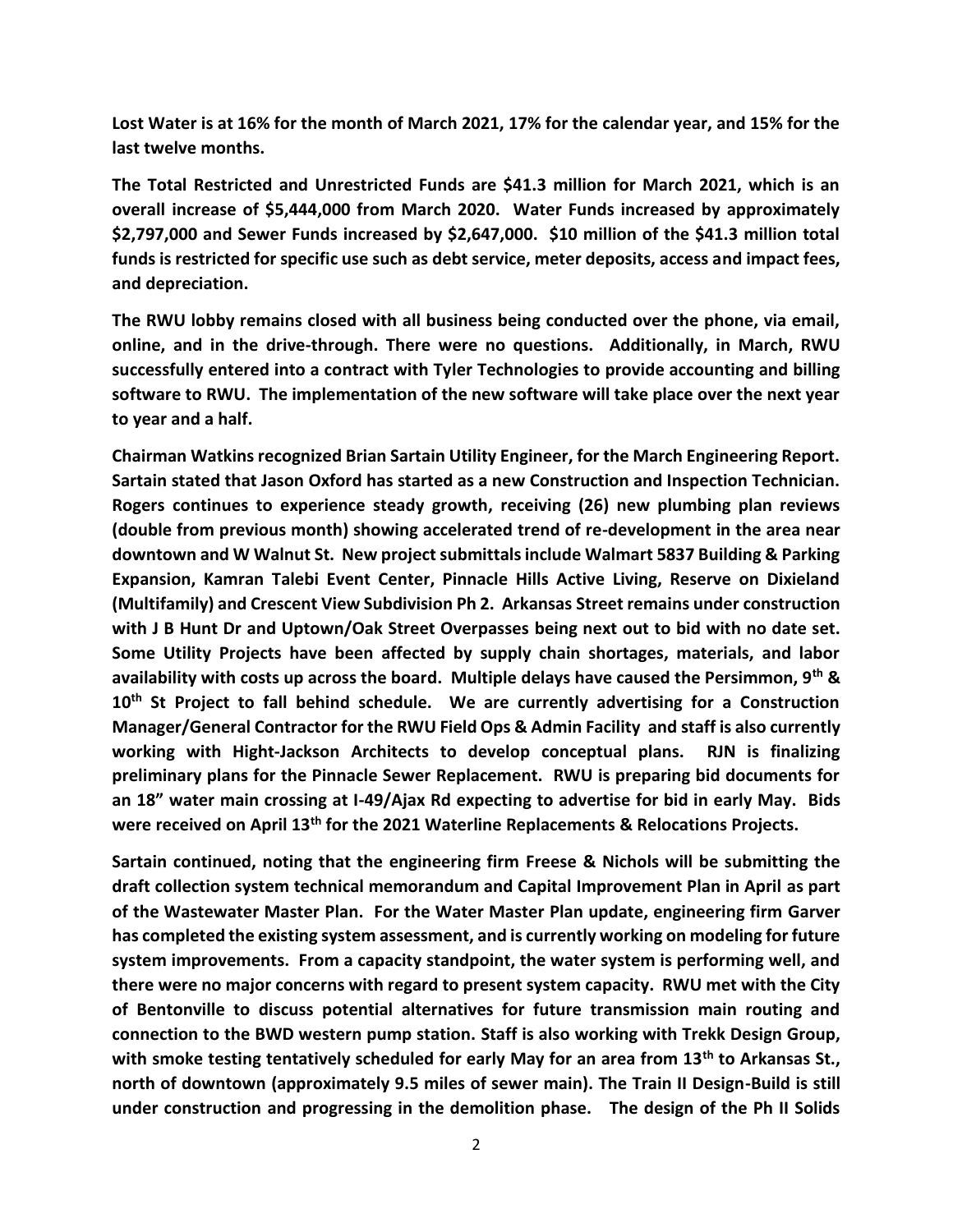**Lost Water is at 16% for the month of March 2021, 17% for the calendar year, and 15% for the last twelve months.**

**The Total Restricted and Unrestricted Funds are \$41.3 million for March 2021, which is an overall increase of \$5,444,000 from March 2020. Water Funds increased by approximately \$2,797,000 and Sewer Funds increased by \$2,647,000. \$10 million of the \$41.3 million total funds is restricted for specific use such as debt service, meter deposits, access and impact fees, and depreciation.**

**The RWU lobby remains closed with all business being conducted over the phone, via email, online, and in the drive-through. There were no questions. Additionally, in March, RWU successfully entered into a contract with Tyler Technologies to provide accounting and billing software to RWU. The implementation of the new software will take place over the next year to year and a half.**

**Chairman Watkins recognized Brian Sartain Utility Engineer, for the March Engineering Report. Sartain stated that Jason Oxford has started as a new Construction and Inspection Technician. Rogers continues to experience steady growth, receiving (26) new plumbing plan reviews (double from previous month) showing accelerated trend of re-development in the area near downtown and W Walnut St. New project submittals include Walmart 5837 Building & Parking Expansion, Kamran Talebi Event Center, Pinnacle Hills Active Living, Reserve on Dixieland (Multifamily) and Crescent View Subdivision Ph 2. Arkansas Street remains under construction with J B Hunt Dr and Uptown/Oak Street Overpasses being next out to bid with no date set. Some Utility Projects have been affected by supply chain shortages, materials, and labor availability with costs up across the board. Multiple delays have caused the Persimmon, 9th & 10th St Project to fall behind schedule. We are currently advertising for a Construction Manager/General Contractor for the RWU Field Ops & Admin Facility and staff is also currently working with Hight-Jackson Architects to develop conceptual plans. RJN is finalizing preliminary plans for the Pinnacle Sewer Replacement. RWU is preparing bid documents for an 18" water main crossing at I-49/Ajax Rd expecting to advertise for bid in early May. Bids were received on April 13th for the 2021 Waterline Replacements & Relocations Projects.**

**Sartain continued, noting that the engineering firm Freese & Nichols will be submitting the draft collection system technical memorandum and Capital Improvement Plan in April as part of the Wastewater Master Plan. For the Water Master Plan update, engineering firm Garver has completed the existing system assessment, and is currently working on modeling for future system improvements. From a capacity standpoint, the water system is performing well, and there were no major concerns with regard to present system capacity. RWU met with the City of Bentonville to discuss potential alternatives for future transmission main routing and connection to the BWD western pump station. Staff is also working with Trekk Design Group, with smoke testing tentatively scheduled for early May for an area from 13th to Arkansas St., north of downtown (approximately 9.5 miles of sewer main). The Train II Design-Build is still under construction and progressing in the demolition phase. The design of the Ph II Solids**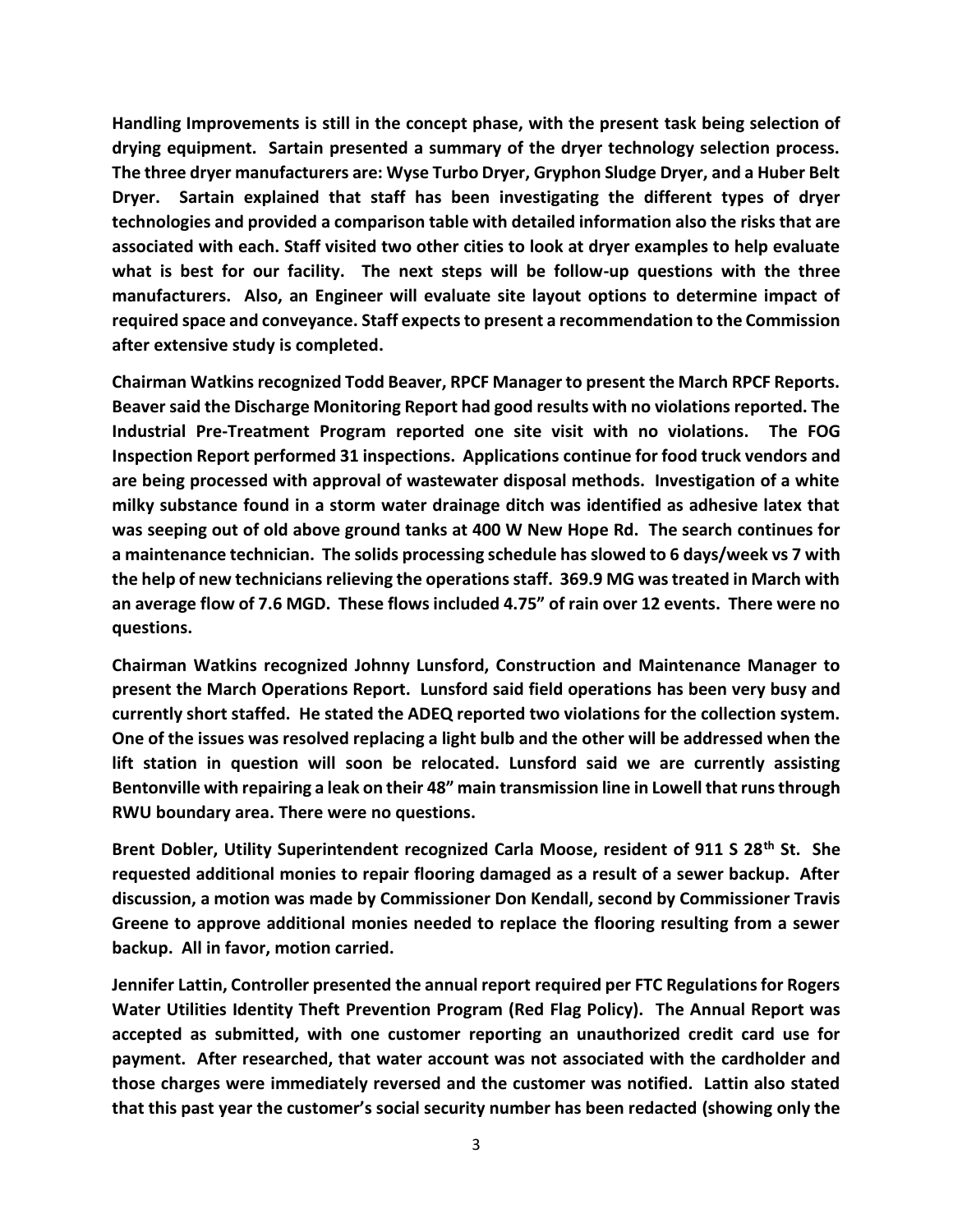**Handling Improvements is still in the concept phase, with the present task being selection of drying equipment. Sartain presented a summary of the dryer technology selection process. The three dryer manufacturers are: Wyse Turbo Dryer, Gryphon Sludge Dryer, and a Huber Belt Dryer. Sartain explained that staff has been investigating the different types of dryer technologies and provided a comparison table with detailed information also the risks that are associated with each. Staff visited two other cities to look at dryer examples to help evaluate what is best for our facility. The next steps will be follow-up questions with the three manufacturers. Also, an Engineer will evaluate site layout options to determine impact of required space and conveyance. Staff expects to present a recommendation to the Commission after extensive study is completed.**

**Chairman Watkins recognized Todd Beaver, RPCF Manager to present the March RPCF Reports. Beaver said the Discharge Monitoring Report had good results with no violations reported. The Industrial Pre-Treatment Program reported one site visit with no violations. The FOG Inspection Report performed 31 inspections. Applications continue for food truck vendors and are being processed with approval of wastewater disposal methods. Investigation of a white milky substance found in a storm water drainage ditch was identified as adhesive latex that was seeping out of old above ground tanks at 400 W New Hope Rd. The search continues for a maintenance technician. The solids processing schedule has slowed to 6 days/week vs 7 with the help of new technicians relieving the operations staff. 369.9 MG was treated in March with an average flow of 7.6 MGD. These flows included 4.75" of rain over 12 events. There were no questions.**

**Chairman Watkins recognized Johnny Lunsford, Construction and Maintenance Manager to present the March Operations Report. Lunsford said field operations has been very busy and currently short staffed. He stated the ADEQ reported two violations for the collection system. One of the issues was resolved replacing a light bulb and the other will be addressed when the lift station in question will soon be relocated. Lunsford said we are currently assisting Bentonville with repairing a leak on their 48" main transmission line in Lowell that runs through RWU boundary area. There were no questions.**

**Brent Dobler, Utility Superintendent recognized Carla Moose, resident of 911 S 28th St. She requested additional monies to repair flooring damaged as a result of a sewer backup. After discussion, a motion was made by Commissioner Don Kendall, second by Commissioner Travis Greene to approve additional monies needed to replace the flooring resulting from a sewer backup. All in favor, motion carried.**

**Jennifer Lattin, Controller presented the annual report required per FTC Regulations for Rogers Water Utilities Identity Theft Prevention Program (Red Flag Policy). The Annual Report was accepted as submitted, with one customer reporting an unauthorized credit card use for payment. After researched, that water account was not associated with the cardholder and those charges were immediately reversed and the customer was notified. Lattin also stated that this past year the customer's social security number has been redacted (showing only the**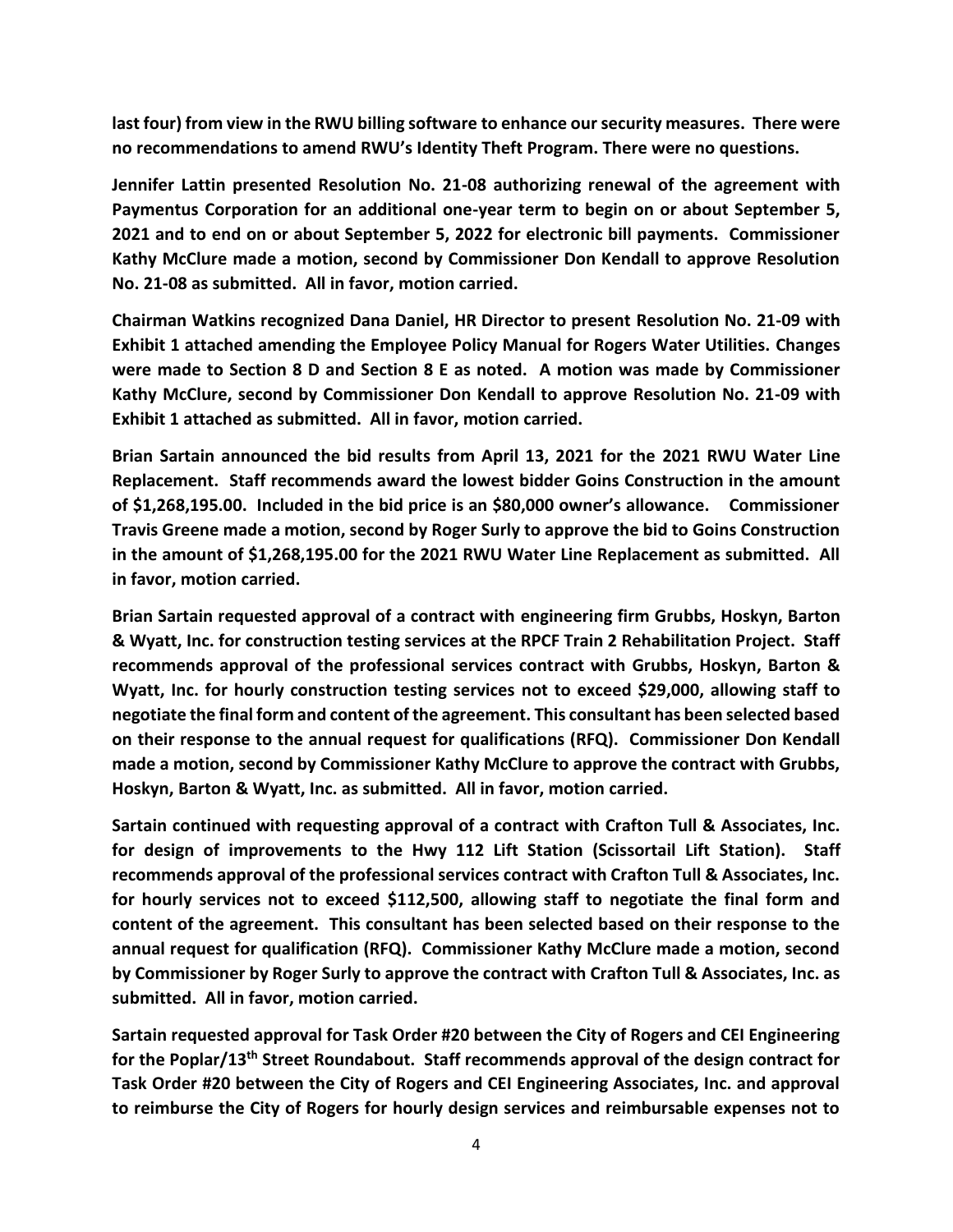**last four) from view in the RWU billing software to enhance our security measures. There were no recommendations to amend RWU's Identity Theft Program. There were no questions.**

**Jennifer Lattin presented Resolution No. 21-08 authorizing renewal of the agreement with Paymentus Corporation for an additional one-year term to begin on or about September 5, 2021 and to end on or about September 5, 2022 for electronic bill payments. Commissioner Kathy McClure made a motion, second by Commissioner Don Kendall to approve Resolution No. 21-08 as submitted. All in favor, motion carried.**

**Chairman Watkins recognized Dana Daniel, HR Director to present Resolution No. 21-09 with Exhibit 1 attached amending the Employee Policy Manual for Rogers Water Utilities. Changes were made to Section 8 D and Section 8 E as noted. A motion was made by Commissioner Kathy McClure, second by Commissioner Don Kendall to approve Resolution No. 21-09 with Exhibit 1 attached as submitted. All in favor, motion carried.**

**Brian Sartain announced the bid results from April 13, 2021 for the 2021 RWU Water Line Replacement. Staff recommends award the lowest bidder Goins Construction in the amount of \$1,268,195.00. Included in the bid price is an \$80,000 owner's allowance. Commissioner Travis Greene made a motion, second by Roger Surly to approve the bid to Goins Construction in the amount of \$1,268,195.00 for the 2021 RWU Water Line Replacement as submitted. All in favor, motion carried.**

**Brian Sartain requested approval of a contract with engineering firm Grubbs, Hoskyn, Barton & Wyatt, Inc. for construction testing services at the RPCF Train 2 Rehabilitation Project. Staff recommends approval of the professional services contract with Grubbs, Hoskyn, Barton & Wyatt, Inc. for hourly construction testing services not to exceed \$29,000, allowing staff to negotiate the final form and content of the agreement. This consultant has been selected based on their response to the annual request for qualifications (RFQ). Commissioner Don Kendall made a motion, second by Commissioner Kathy McClure to approve the contract with Grubbs, Hoskyn, Barton & Wyatt, Inc. as submitted. All in favor, motion carried.**

**Sartain continued with requesting approval of a contract with Crafton Tull & Associates, Inc. for design of improvements to the Hwy 112 Lift Station (Scissortail Lift Station). Staff recommends approval of the professional services contract with Crafton Tull & Associates, Inc. for hourly services not to exceed \$112,500, allowing staff to negotiate the final form and content of the agreement. This consultant has been selected based on their response to the annual request for qualification (RFQ). Commissioner Kathy McClure made a motion, second by Commissioner by Roger Surly to approve the contract with Crafton Tull & Associates, Inc. as submitted. All in favor, motion carried.**

**Sartain requested approval for Task Order #20 between the City of Rogers and CEI Engineering for the Poplar/13th Street Roundabout. Staff recommends approval of the design contract for Task Order #20 between the City of Rogers and CEI Engineering Associates, Inc. and approval to reimburse the City of Rogers for hourly design services and reimbursable expenses not to**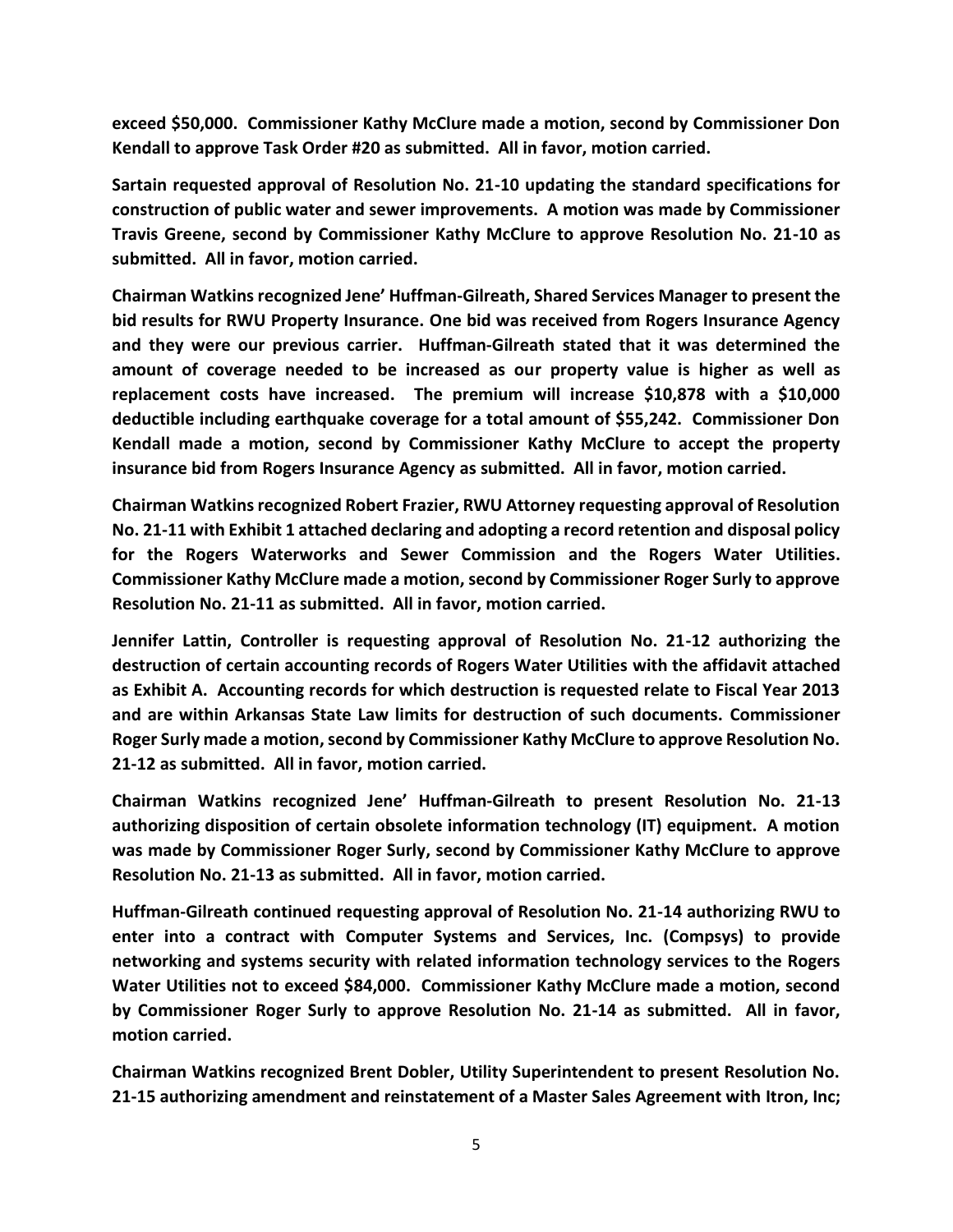**exceed \$50,000. Commissioner Kathy McClure made a motion, second by Commissioner Don Kendall to approve Task Order #20 as submitted. All in favor, motion carried.**

**Sartain requested approval of Resolution No. 21-10 updating the standard specifications for construction of public water and sewer improvements. A motion was made by Commissioner Travis Greene, second by Commissioner Kathy McClure to approve Resolution No. 21-10 as submitted. All in favor, motion carried.**

**Chairman Watkins recognized Jene' Huffman-Gilreath, Shared Services Manager to present the bid results for RWU Property Insurance. One bid was received from Rogers Insurance Agency and they were our previous carrier. Huffman-Gilreath stated that it was determined the amount of coverage needed to be increased as our property value is higher as well as replacement costs have increased. The premium will increase \$10,878 with a \$10,000 deductible including earthquake coverage for a total amount of \$55,242. Commissioner Don Kendall made a motion, second by Commissioner Kathy McClure to accept the property insurance bid from Rogers Insurance Agency as submitted. All in favor, motion carried.**

**Chairman Watkins recognized Robert Frazier, RWU Attorney requesting approval of Resolution No. 21-11 with Exhibit 1 attached declaring and adopting a record retention and disposal policy for the Rogers Waterworks and Sewer Commission and the Rogers Water Utilities. Commissioner Kathy McClure made a motion, second by Commissioner Roger Surly to approve Resolution No. 21-11 as submitted. All in favor, motion carried.**

**Jennifer Lattin, Controller is requesting approval of Resolution No. 21-12 authorizing the destruction of certain accounting records of Rogers Water Utilities with the affidavit attached as Exhibit A. Accounting records for which destruction is requested relate to Fiscal Year 2013 and are within Arkansas State Law limits for destruction of such documents. Commissioner Roger Surly made a motion, second by Commissioner Kathy McClure to approve Resolution No. 21-12 as submitted. All in favor, motion carried.**

**Chairman Watkins recognized Jene' Huffman-Gilreath to present Resolution No. 21-13 authorizing disposition of certain obsolete information technology (IT) equipment. A motion was made by Commissioner Roger Surly, second by Commissioner Kathy McClure to approve Resolution No. 21-13 as submitted. All in favor, motion carried.**

**Huffman-Gilreath continued requesting approval of Resolution No. 21-14 authorizing RWU to enter into a contract with Computer Systems and Services, Inc. (Compsys) to provide networking and systems security with related information technology services to the Rogers Water Utilities not to exceed \$84,000. Commissioner Kathy McClure made a motion, second by Commissioner Roger Surly to approve Resolution No. 21-14 as submitted. All in favor, motion carried.**

**Chairman Watkins recognized Brent Dobler, Utility Superintendent to present Resolution No. 21-15 authorizing amendment and reinstatement of a Master Sales Agreement with Itron, Inc;**